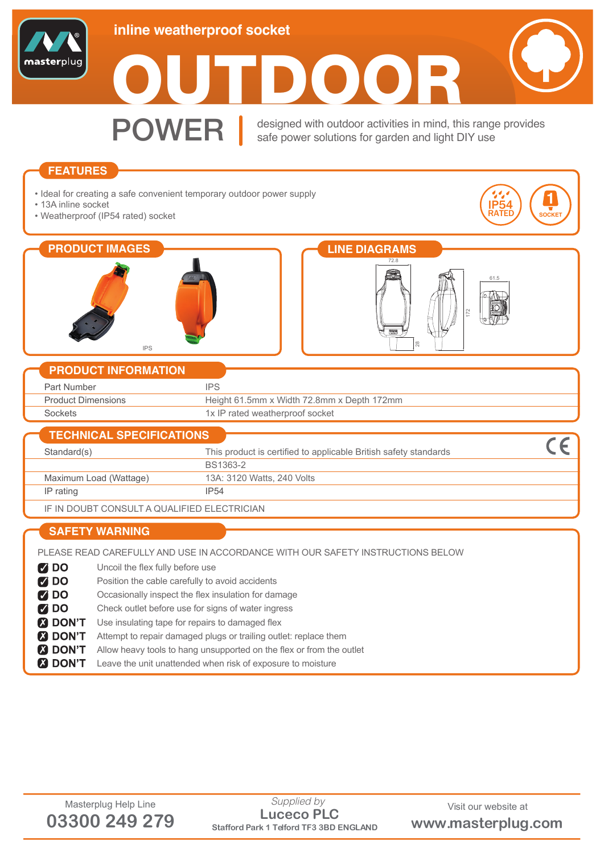





**POWER** esigned with outdoor activities in mind, the Second Later Dever solutions for aarden and light designed with outdoor activities in mind, this range provides safe power solutions for garden and light DIY use

## **FEATURES**

- Ideal for creating a safe convenient temporary outdoor power supply
- 13A inline socket
- Weatherproof (IP54 rated) socket









## **PRODUCT INFORMATION**

| Part Number               |                                            |
|---------------------------|--------------------------------------------|
| <b>Product Dimensions</b> | Height 61.5mm x Width 72.8mm x Depth 172mm |
| Sockets                   | 1x IP rated weatherproof socket            |

| <b>TECHNICAL SPECIFICATIONS</b> |                                                                  |  |
|---------------------------------|------------------------------------------------------------------|--|
| Standard(s)                     | This product is certified to applicable British safety standards |  |
|                                 | BS1363-2                                                         |  |
| Maximum Load (Wattage)          | 13A: 3120 Watts, 240 Volts                                       |  |
| IP rating                       | <b>IP54</b>                                                      |  |
|                                 |                                                                  |  |

IF IN DOUBT CONSULT A QUALIFIED ELECTRICIAN

## **SAFETY WARNING**

PLEASE READ CAREFULLY AND USE IN ACCORDANCE WITH OUR SAFETY INSTRUCTIONS BELOW

Uncoil the flex fully before use **Z** DO

- $700$ Position the cable carefully to avoid accidents
- $700$ Occasionally inspect the flex insulation for damage
- **MDO** Check outlet before use for signs of water ingress
- **2 DON'T** Use insulating tape for repairs to damaged flex
- **A DON'T** Attempt to repair damaged plugs or trailing outlet: replace them
- **3 DON'T** Allow heavy tools to hang unsupported on the flex or from the outlet
- **2 DON'T** Leave the unit unattended when risk of exposure to moisture

Masterplug Help Line Supplied by Supplied by Visit our website at **03300 249 279 Stafford Park 1 Telford TF3 3BD ENGLAND www.masterplug.com Luceco PLC** *Supplied by*